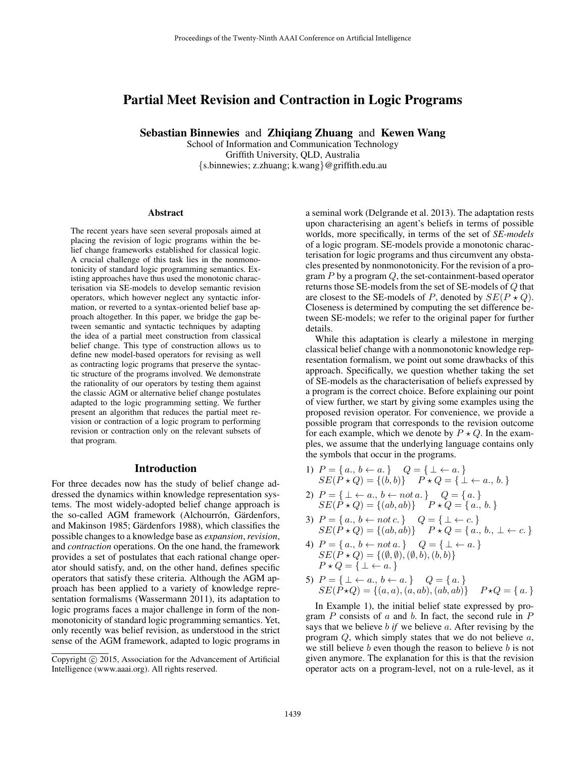# Partial Meet Revision and Contraction in Logic Programs

Sebastian Binnewies and Zhiqiang Zhuang and Kewen Wang

School of Information and Communication Technology Griffith University, QLD, Australia {s.binnewies; z.zhuang; k.wang}@griffith.edu.au

#### Abstract

The recent years have seen several proposals aimed at placing the revision of logic programs within the belief change frameworks established for classical logic. A crucial challenge of this task lies in the nonmonotonicity of standard logic programming semantics. Existing approaches have thus used the monotonic characterisation via SE-models to develop semantic revision operators, which however neglect any syntactic information, or reverted to a syntax-oriented belief base approach altogether. In this paper, we bridge the gap between semantic and syntactic techniques by adapting the idea of a partial meet construction from classical belief change. This type of construction allows us to define new model-based operators for revising as well as contracting logic programs that preserve the syntactic structure of the programs involved. We demonstrate the rationality of our operators by testing them against the classic AGM or alternative belief change postulates adapted to the logic programming setting. We further present an algorithm that reduces the partial meet revision or contraction of a logic program to performing revision or contraction only on the relevant subsets of that program.

### Introduction

For three decades now has the study of belief change addressed the dynamics within knowledge representation systems. The most widely-adopted belief change approach is the so-called AGM framework (Alchourrón, Gärdenfors, and Makinson 1985; Gärdenfors 1988), which classifies the possible changes to a knowledge base as *expansion*,*revision*, and *contraction* operations. On the one hand, the framework provides a set of postulates that each rational change operator should satisfy, and, on the other hand, defines specific operators that satisfy these criteria. Although the AGM approach has been applied to a variety of knowledge representation formalisms (Wassermann 2011), its adaptation to logic programs faces a major challenge in form of the nonmonotonicity of standard logic programming semantics. Yet, only recently was belief revision, as understood in the strict sense of the AGM framework, adapted to logic programs in

a seminal work (Delgrande et al. 2013). The adaptation rests upon characterising an agent's beliefs in terms of possible worlds, more specifically, in terms of the set of *SE-models* of a logic program. SE-models provide a monotonic characterisation for logic programs and thus circumvent any obstacles presented by nonmonotonicity. For the revision of a program  $P$  by a program  $Q$ , the set-containment-based operator returns those SE-models from the set of SE-models of Q that are closest to the SE-models of P, denoted by  $SE(P \star Q)$ . Closeness is determined by computing the set difference between SE-models; we refer to the original paper for further details.

While this adaptation is clearly a milestone in merging classical belief change with a nonmonotonic knowledge representation formalism, we point out some drawbacks of this approach. Specifically, we question whether taking the set of SE-models as the characterisation of beliefs expressed by a program is the correct choice. Before explaining our point of view further, we start by giving some examples using the proposed revision operator. For convenience, we provide a possible program that corresponds to the revision outcome for each example, which we denote by  $P \star Q$ . In the examples, we assume that the underlying language contains only the symbols that occur in the programs.

1) 
$$
P = \{a., b \leftarrow a.\}
$$
  
\n $SE(P \star Q) = \{(b, b)\}$   
\n $P \star Q = \{\perp \leftarrow a.\}$   
\n $P \star Q = \{\perp \leftarrow a., b.\}$ 

2) 
$$
P = \{ \bot \leftarrow a., b \leftarrow not \, a. \}
$$
  $Q = \{a.\}$   
 $SE(P \star Q) = \{(ab, ab)\}$   $P \star Q = \{a., b.\}$ 

3) 
$$
P = \{a., b \leftarrow not c.\}
$$
  $Q = \{\perp \leftarrow c.\}$   
 $SE(P \star Q) = \{(ab, ab)\}$   $P \star Q = \{a., b., \perp \leftarrow c.\}$ 

- 4)  $P = \{a_i, b \leftarrow not \, a_i\} \quad Q = \{\perp \leftarrow a_i\}$  $SE(P \star Q) = \{(\emptyset, \emptyset),(\emptyset, \check{b}),(\check{b}, \check{b})\}$  $P \star Q = \{ \perp \leftarrow a. \}$
- 5)  $P = \{\perp \leftarrow a., b \leftarrow a.\}$   $Q = \{a.\}$  $SE(P \star Q) = \{(a, a), (a, ab), (ab, ab)\}$   $P \star Q = \{a.\}$

In Example 1), the initial belief state expressed by program  $P$  consists of  $a$  and  $b$ . In fact, the second rule in  $P$ says that we believe b *if* we believe a. After revising by the program  $Q$ , which simply states that we do not believe  $a$ , we still believe  $b$  even though the reason to believe  $b$  is not given anymore. The explanation for this is that the revision operator acts on a program-level, not on a rule-level, as it

Copyright © 2015, Association for the Advancement of Artificial Intelligence (www.aaai.org). All rights reserved.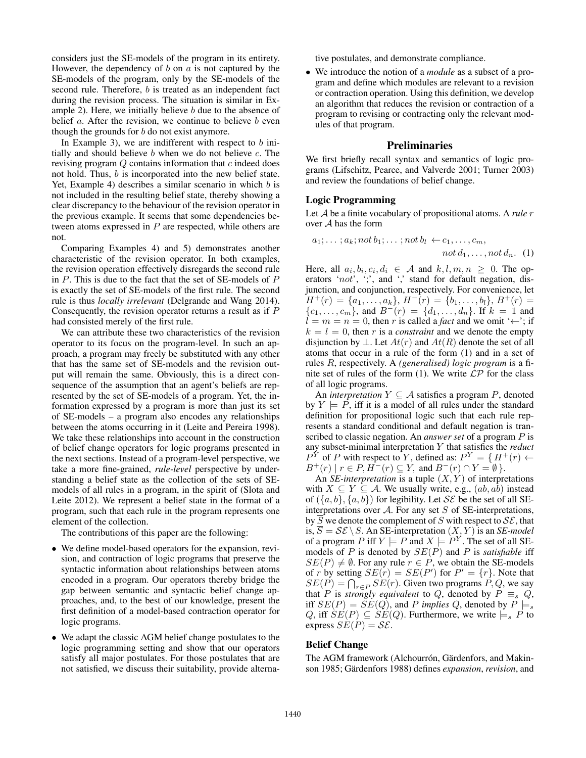considers just the SE-models of the program in its entirety. However, the dependency of  $b$  on  $a$  is not captured by the SE-models of the program, only by the SE-models of the second rule. Therefore, b is treated as an independent fact during the revision process. The situation is similar in Example 2). Here, we initially believe b due to the absence of belief  $a$ . After the revision, we continue to believe  $b$  even though the grounds for  $b$  do not exist anymore.

In Example 3), we are indifferent with respect to  $b$  initially and should believe  $b$  when we do not believe  $c$ . The revising program Q contains information that c indeed does not hold. Thus, b is incorporated into the new belief state. Yet, Example 4) describes a similar scenario in which  $b$  is not included in the resulting belief state, thereby showing a clear discrepancy to the behaviour of the revision operator in the previous example. It seems that some dependencies between atoms expressed in  $P$  are respected, while others are not.

Comparing Examples 4) and 5) demonstrates another characteristic of the revision operator. In both examples, the revision operation effectively disregards the second rule in  $P$ . This is due to the fact that the set of SE-models of  $P$ is exactly the set of SE-models of the first rule. The second rule is thus *locally irrelevant* (Delgrande and Wang 2014). Consequently, the revision operator returns a result as if P had consisted merely of the first rule.

We can attribute these two characteristics of the revision operator to its focus on the program-level. In such an approach, a program may freely be substituted with any other that has the same set of SE-models and the revision output will remain the same. Obviously, this is a direct consequence of the assumption that an agent's beliefs are represented by the set of SE-models of a program. Yet, the information expressed by a program is more than just its set of SE-models – a program also encodes any relationships between the atoms occurring in it (Leite and Pereira 1998). We take these relationships into account in the construction of belief change operators for logic programs presented in the next sections. Instead of a program-level perspective, we take a more fine-grained, *rule-level* perspective by understanding a belief state as the collection of the sets of SEmodels of all rules in a program, in the spirit of (Slota and Leite 2012). We represent a belief state in the format of a program, such that each rule in the program represents one element of the collection.

The contributions of this paper are the following:

- We define model-based operators for the expansion, revision, and contraction of logic programs that preserve the syntactic information about relationships between atoms encoded in a program. Our operators thereby bridge the gap between semantic and syntactic belief change approaches, and, to the best of our knowledge, present the first definition of a model-based contraction operator for logic programs.
- We adapt the classic AGM belief change postulates to the logic programming setting and show that our operators satisfy all major postulates. For those postulates that are not satisfied, we discuss their suitability, provide alterna-

tive postulates, and demonstrate compliance.

• We introduce the notion of a *module* as a subset of a program and define which modules are relevant to a revision or contraction operation. Using this definition, we develop an algorithm that reduces the revision or contraction of a program to revising or contracting only the relevant modules of that program.

### Preliminaries

We first briefly recall syntax and semantics of logic programs (Lifschitz, Pearce, and Valverde 2001; Turner 2003) and review the foundations of belief change.

### Logic Programming

Let A be a finite vocabulary of propositional atoms. A *rule* r over A has the form

$$
a_1; \ldots; a_k; not b_1; \ldots; not b_l \leftarrow c_1, \ldots, c_m, not d_1, \ldots, not d_n. (1)
$$

Here, all  $a_i, b_i, c_i, d_i \in \mathcal{A}$  and  $k, l, m, n \geq 0$ . The operators 'not', ';', and ',' stand for default negation, disjunction, and conjunction, respectively. For convenience, let  $H^+(r) = \{a_1, \ldots, a_k\}, H^-(r) = \{b_1, \ldots, b_l\}, B^+(r) =$  ${c_1, \ldots, c_m}$ , and  $B^{-}(r) = {d_1, \ldots, d_n}$ . If  $k = 1$  and  $l = m = n = 0$ , then r is called a *fact* and we omit '←'; if  $k = l = 0$ , then r is a *constraint* and we denote the empty disjunction by  $\bot$ . Let  $At(r)$  and  $At(R)$  denote the set of all atoms that occur in a rule of the form (1) and in a set of rules R, respectively. A *(generalised) logic program* is a finite set of rules of the form (1). We write  $\mathcal{LP}$  for the class of all logic programs.

An *interpretation*  $Y \subseteq A$  satisfies a program  $P$ , denoted by  $Y \models P$ , iff it is a model of all rules under the standard definition for propositional logic such that each rule represents a standard conditional and default negation is transcribed to classic negation. An *answer set* of a program P is any subset-minimal interpretation Y that satisfies the *reduct*  $P^{Y}$  of P with respect to Y, defined as:  $P^{Y} = \{ H^{+}(r) \leftarrow \}$  $B^+(r) \mid r \in P, H^-(r) \subseteq Y$ , and  $B^-(r) \cap Y = \emptyset$ .

An *SE-interpretation* is a tuple  $(X, Y)$  of interpretations with  $X \subseteq Y \subseteq A$ . We usually write, e.g.,  $(ab, ab)$  instead of  $({a, b}, {a, b})$  for legibility. Let SE be the set of all SEinterpretations over  $A$ . For any set  $S$  of SE-interpretations, by  $\overline{S}$  we denote the complement of S with respect to  $\mathcal{SE}$ , that is,  $S = \mathcal{SE} \setminus S$ . An SE-interpretation  $(X, Y)$  is an *SE-model* of a program P iff  $Y \models P$  and  $X \models P^Y$ . The set of all SEmodels of P is denoted by SE(P) and P is *satisfiable* iff  $SE(P) \neq \emptyset$ . For any rule  $r \in P$ , we obtain the SE-models of r by setting  $SE(r) = SE(P')$  for  $P' = \{r\}$ . Note that  $SE(P) = \bigcap_{r \in P} SE(r)$ . Given two programs  $P, Q$ , we say that P is *strongly equivalent* to Q, denoted by  $P \equiv_s Q$ , iff  $SE(P) = SE(Q)$ , and P *implies* Q, denoted by  $P \models_s$ Q, iff  $SE(P) \subseteq SE(Q)$ . Furthermore, we write  $\models_s P$  to express  $SE(P) = \mathcal{SE}$ .

## Belief Change

The AGM framework (Alchourrón, Gärdenfors, and Makinson 1985; Gärdenfors 1988) defines *expansion*, *revision*, and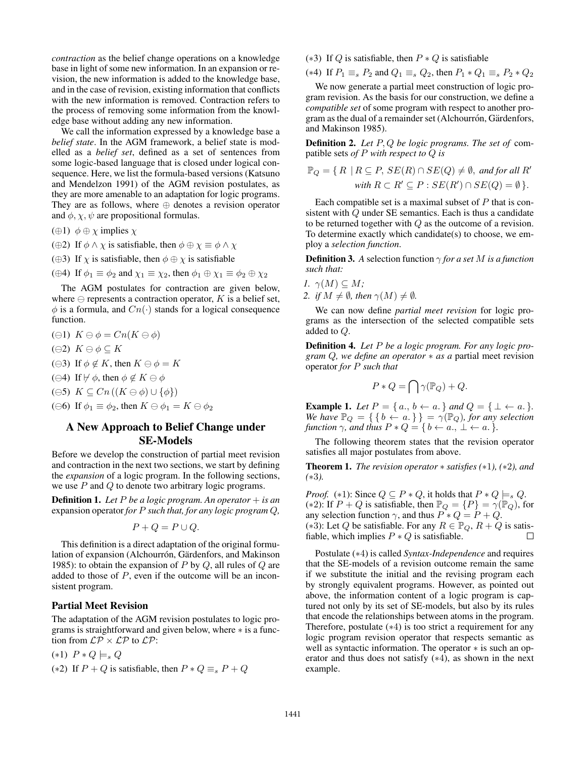*contraction* as the belief change operations on a knowledge base in light of some new information. In an expansion or revision, the new information is added to the knowledge base, and in the case of revision, existing information that conflicts with the new information is removed. Contraction refers to the process of removing some information from the knowledge base without adding any new information.

We call the information expressed by a knowledge base a *belief state*. In the AGM framework, a belief state is modelled as a *belief set*, defined as a set of sentences from some logic-based language that is closed under logical consequence. Here, we list the formula-based versions (Katsuno and Mendelzon 1991) of the AGM revision postulates, as they are more amenable to an adaptation for logic programs. They are as follows, where  $oplus$  denotes a revision operator and  $\phi$ ,  $\chi$ ,  $\psi$  are propositional formulas.

- ( $\oplus$ 1)  $\phi \oplus \chi$  implies  $\chi$
- (⊕2) If  $\phi \wedge \chi$  is satisfiable, then  $\phi \oplus \chi \equiv \phi \wedge \chi$
- ( $\oplus$ 3) If  $\chi$  is satisfiable, then  $\phi \oplus \chi$  is satisfiable
- (⊕4) If  $\phi_1 \equiv \phi_2$  and  $\chi_1 \equiv \chi_2$ , then  $\phi_1 \oplus \chi_1 \equiv \phi_2 \oplus \chi_2$

The AGM postulates for contraction are given below, where  $\ominus$  represents a contraction operator, K is a belief set,  $\phi$  is a formula, and  $Cn(\cdot)$  stands for a logical consequence function.

- $(\ominus 1)$   $K \ominus \phi = Cn(K \ominus \phi)$
- $(\ominus 2)$   $K \ominus \phi \subseteq K$
- ( $\ominus$ 3) If  $\phi \notin K$ , then  $K \ominus \phi = K$
- ( $\ominus$ 4) If  $\nvdash \phi$ , then  $\phi \notin K \ominus \phi$
- $(\ominus 5)$   $K \subseteq Cn((K \ominus \phi) \cup {\phi})$
- ( $\ominus$ 6) If  $\phi_1 \equiv \phi_2$ , then  $K \ominus \phi_1 = K \ominus \phi_2$

# A New Approach to Belief Change under SE-Models

Before we develop the construction of partial meet revision and contraction in the next two sections, we start by defining the *expansion* of a logic program. In the following sections, we use  $P$  and  $Q$  to denote two arbitrary logic programs.

Definition 1. *Let* P *be a logic program. An operator* + *is an* expansion operator *for* P *such that, for any logic program* Q*,*

$$
P + Q = P \cup Q.
$$

This definition is a direct adaptation of the original formulation of expansion (Alchourrón, Gärdenfors, and Makinson 1985): to obtain the expansion of P by  $Q$ , all rules of  $Q$  are added to those of P, even if the outcome will be an inconsistent program.

#### Partial Meet Revision

The adaptation of the AGM revision postulates to logic programs is straightforward and given below, where ∗ is a function from  $\mathcal{LP} \times \mathcal{LP}$  to  $\mathcal{LP}$ :

- $(*1)$   $P * Q \models_s Q$
- (\*2) If  $P + Q$  is satisfiable, then  $P * Q \equiv_s P + Q$

### (\*3) If Q is satisfiable, then  $P * Q$  is satisfiable

(\*4) If  $P_1 \equiv_s P_2$  and  $Q_1 \equiv_s Q_2$ , then  $P_1 * Q_1 \equiv_s P_2 * Q_2$ 

We now generate a partial meet construction of logic program revision. As the basis for our construction, we define a *compatible set* of some program with respect to another program as the dual of a remainder set (Alchourrón, Gärdenfors, and Makinson 1985).

Definition 2. *Let* P, Q *be logic programs. The set of* compatible sets *of* P *with respect to* Q *is*

$$
\mathbb{P}_Q = \{ R \mid R \subseteq P, SE(R) \cap SE(Q) \neq \emptyset, \text{ and for all } R' \text{ with } R \subset R' \subseteq P : SE(R') \cap SE(Q) = \emptyset \}.
$$

Each compatible set is a maximal subset of  $P$  that is consistent with Q under SE semantics. Each is thus a candidate to be returned together with Q as the outcome of a revision. To determine exactly which candidate(s) to choose, we employ a *selection function*.

**Definition 3.** A selection function  $\gamma$  *for a set* M *is a function such that:*

\n- 1. 
$$
\gamma(M) \subseteq M
$$
;
\n- 2. if  $M \neq \emptyset$ , then  $\gamma(M) \neq \emptyset$ .
\n

We can now define *partial meet revision* for logic programs as the intersection of the selected compatible sets added to Q.

Definition 4. *Let* P *be a logic program. For any logic program* Q*, we define an operator* ∗ *as a* partial meet revision operator *for* P *such that*

$$
P * Q = \bigcap \gamma(\mathbb{P}_Q) + Q.
$$

**Example 1.** *Let*  $P = \{a_1, b \leftarrow a_2\}$  *and*  $Q = \{\perp \leftarrow a_3\}.$ *We have*  $\mathbb{P}_Q = \{ \{ b \leftarrow a \} \} = \gamma(\mathbb{P}_Q)$ *, for any selection function*  $\gamma$ *, and thus*  $P * Q = \{ b \leftarrow a, \bot \leftarrow a \}$ *.* 

The following theorem states that the revision operator satisfies all major postulates from above.

Theorem 1. *The revision operator* ∗ *satisfies (*∗1*), (*∗2*), and (*∗3*).*

*Proof.* (\*1): Since  $Q \subseteq P * Q$ , it holds that  $P * Q \models_s Q$ . (\*2): If  $P + Q$  is satisfiable, then  $\mathbb{P}_Q = \{P\} = \gamma(\mathbb{P}_Q)$ , for any selection function  $\gamma$ , and thus  $P * Q = P + Q$ . (\*3): Let Q be satisfiable. For any  $R \in \mathbb{P}_Q$ ,  $R + Q$  is satisfiable, which implies  $P * Q$  is satisfiable.

Postulate (∗4) is called *Syntax-Independence* and requires that the SE-models of a revision outcome remain the same if we substitute the initial and the revising program each by strongly equivalent programs. However, as pointed out above, the information content of a logic program is captured not only by its set of SE-models, but also by its rules that encode the relationships between atoms in the program. Therefore, postulate (∗4) is too strict a requirement for any logic program revision operator that respects semantic as well as syntactic information. The operator ∗ is such an operator and thus does not satisfy (∗4), as shown in the next example.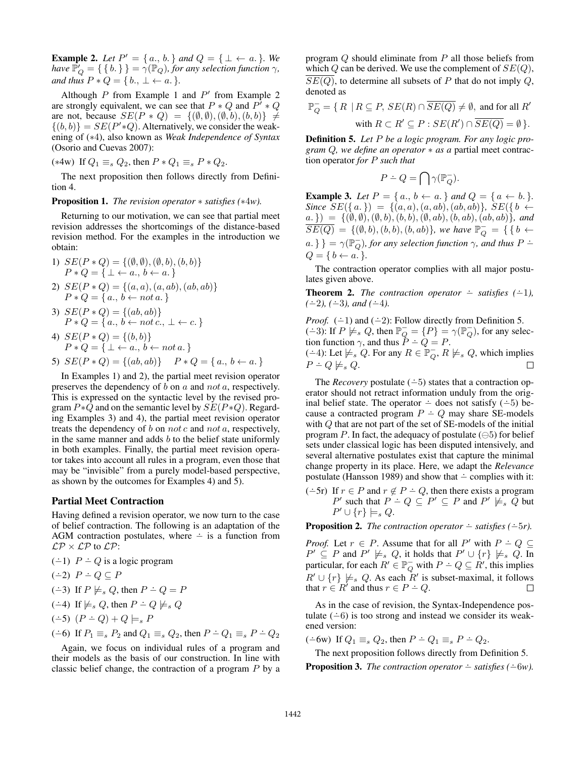**Example 2.** Let  $P' = \{a_0, b_1\}$  and  $Q = \{\perp \leftarrow a_1\}$ . We *have*  $\overline{P}_Q' = \{ \{ b. \} \} = \gamma(\overline{P}_Q)$ *, for any selection function*  $\gamma$ *, and thus*  $P * Q = \{b_1, \perp \leftarrow a\}$ .

Although  $P$  from Example 1 and  $P'$  from Example 2 are strongly equivalent, we can see that  $P * Q$  and  $P^{\dagger} * Q$ are not, because  $SE(P * Q) = \{(\emptyset, \emptyset), (\emptyset, b), (b, b)\}\neq$  $\{(b, b)\} = SE(P'*Q)$ . Alternatively, we consider the weakening of (∗4), also known as *Weak Independence of Syntax* (Osorio and Cuevas 2007):

(\*4w) If  $Q_1 \equiv_s Q_2$ , then  $P * Q_1 \equiv_s P * Q_2$ .

The next proposition then follows directly from Definition 4.

Proposition 1. *The revision operator* ∗ *satisfies (*∗4*w).*

Returning to our motivation, we can see that partial meet revision addresses the shortcomings of the distance-based revision method. For the examples in the introduction we obtain:

- 1)  $SE(P * Q) = \{ (\emptyset, \emptyset), (\emptyset, b), (b, b) \}$  $P * Q = \{ \perp \leftarrow a, b \leftarrow a. \}$
- 2)  $SE(P * Q) = \{(a, a), (a, ab), (ab, ab)\}$  $P * Q = \{a., b \leftarrow not\ a.\}$
- 3)  $SE(P * Q) = \{(ab, ab)\}\$  $P * Q = \{a., b \leftarrow not c., \perp \leftarrow c.\}$

4) 
$$
SE(P * Q) = \{(b, b)\}
$$
  
\n $P * Q = \{\bot \leftarrow a, b \leftarrow not a.\}$ 

5) 
$$
SE(P * Q) = \{(ab, ab)\}
$$
  $P * Q = \{a., b \leftarrow a.\}$ 

In Examples 1) and 2), the partial meet revision operator preserves the dependency of b on a and not a, respectively. This is expressed on the syntactic level by the revised program  $P * Q$  and on the semantic level by  $SE(P * Q)$ . Regarding Examples 3) and 4), the partial meet revision operator treats the dependency of  $b$  on not  $c$  and not  $a$ , respectively, in the same manner and adds  $b$  to the belief state uniformly in both examples. Finally, the partial meet revision operator takes into account all rules in a program, even those that may be "invisible" from a purely model-based perspective, as shown by the outcomes for Examples 4) and 5).

#### Partial Meet Contraction

Having defined a revision operator, we now turn to the case of belief contraction. The following is an adaptation of the AGM contraction postulates, where  $\div$  is a function from  $\mathcal{LP}\times\mathcal{LP}$  to  $\mathcal{LP}$ :

 $(-1)$   $P \div Q$  is a logic program

$$
(-2) P \doteq Q \subseteq P
$$

$$
(\div 3)
$$
 If  $P \not\models_s Q$ , then  $P \div Q = P$ 

$$
(-4)
$$
 If  $\not\models_s Q$ , then  $P \doteq Q \not\models_s Q$ 

$$
(-5) (P \div Q) + Q \models_s P
$$

$$
(\div 6)
$$
 If  $P_1 \equiv_s P_2$  and  $Q_1 \equiv_s Q_2$ , then  $P \div Q_1 \equiv_s P \div Q_2$ 

Again, we focus on individual rules of a program and their models as the basis of our construction. In line with classic belief change, the contraction of a program P by a program Q should eliminate from P all those beliefs from which  $Q$  can be derived. We use the complement of  $SE(Q)$ ,  $SE(Q)$ , to determine all subsets of P that do not imply Q, denoted as

$$
\mathbb{P}_{Q}^{-} = \{ R \mid R \subseteq P, SE(R) \cap \overline{SE(Q)} \neq \emptyset, \text{ and for all } R'
$$
  
with  $R \subset R' \subseteq P : SE(R') \cap \overline{SE(Q)} = \emptyset \}.$ 

Definition 5. *Let* P *be a logic program. For any logic program* Q*, we define an operator* ∗ *as a* partial meet contraction operator *for* P *such that*

$$
P \doteq Q = \bigcap \gamma(\mathbb{P}_Q^-).
$$

**Example 3.** Let  $P = \{a_1, b \leftarrow a_2\}$  and  $Q = \{a_1, b_2, b_3\}$ . *Since*  $SE(\{a, \}\}) = \{(a, a), (a, ab), (ab, ab)\}$ *,*  $SE(\{b \leftarrow \})$  $a.$  }) = { $(\emptyset, \emptyset), (\emptyset, b), (b, b), (\emptyset, ab), (b, ab), (ab, ab)$ }*, and*  $\overline{SE(Q)} = \{ (\emptyset, b), (b, b), (b, ab) \},$  we have  $\mathbb{P}_{Q}^{-} = \{ \{ b \leftarrow$  $a. \}$ } =  $\gamma(\mathbb{P}_Q^-)$ , for any selection function  $\gamma$ , and thus  $P \doteq$  $Q = \{ b \leftarrow a. \}.$ 

The contraction operator complies with all major postulates given above.

**Theorem 2.** *The contraction operator*  $\div$  *satisfies* ( $\div$ 1),  $(-2)$ ,  $(-3)$ , and  $(-4)$ .

*Proof.*  $(-1)$  and  $(-2)$ : Follow directly from Definition 5. (-3): If  $P \not\models_{s} Q$ , then  $\mathbb{P}_{\overline{Q}}^{-} = \{P\} = \gamma(\mathbb{P}_{\overline{Q}}^{-})$ , for any selection function  $\gamma$ , and thus  $P \doteq Q = P$ . (-4): Let  $\nvdash$  G. For any  $R \in \mathbb{P}_Q^-$ ,  $R \not\models s Q$ , which implies  $P - Q \not\models s Q.$  $\Box$ 

The *Recovery* postulate  $(-5)$  states that a contraction operator should not retract information unduly from the original belief state. The operator  $\div$  does not satisfy ( $\div$ 5) because a contracted program  $P \doteq Q$  may share SE-models with Q that are not part of the set of SE-models of the initial program P. In fact, the adequacy of postulate  $(\ominus 5)$  for belief sets under classical logic has been disputed intensively, and several alternative postulates exist that capture the minimal change property in its place. Here, we adapt the *Relevance* postulate (Hansson 1989) and show that  $\div$  complies with it:

 $(-5r)$  If  $r \in P$  and  $r \notin P - Q$ , then there exists a program  $P'$  such that  $P - Q \subseteq P' \subseteq P$  and  $P' \not\models_{s} Q$  but  $P' \cup \{r\} \models_s Q.$ 

**Proposition 2.** *The contraction operator*  $\div$  *satisfies* ( $\div$ 5*r*).

*Proof.* Let  $r \in P$ . Assume that for all  $P'$  with  $P \doteq Q \subseteq$  $P' \subseteq P$  and  $P' \not\models_{s} Q$ , it holds that  $P' \cup \{r\} \not\models_{s} Q$ . In particular, for each  $R' \in \mathbb{P}_Q^-$  with  $P - Q \subseteq R'$ , this implies  $R' \cup \{r\} \not\models_{s} Q$ . As each  $R'$  is subset-maximal, it follows that  $r \in R'$  and thus  $r \in P - Q$ .  $\Box$ 

As in the case of revision, the Syntax-Independence postulate  $(-6)$  is too strong and instead we consider its weakened version:

 $(-6w)$  If  $Q_1 \equiv_s Q_2$ , then  $P \dot{-} Q_1 \equiv_s P \dot{-} Q_2$ .

The next proposition follows directly from Definition 5. **Proposition 3.** *The contraction operator*  $\div$  *satisfies* ( $\div$ 6*w*).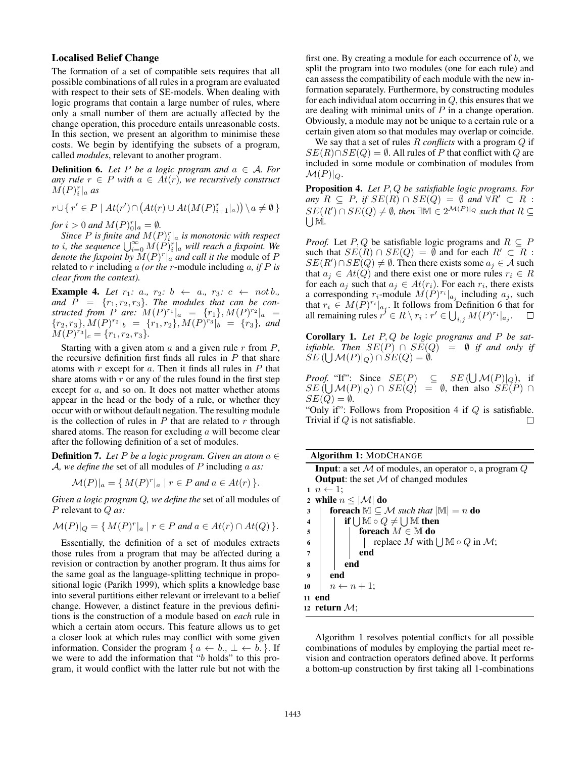### Localised Belief Change

The formation of a set of compatible sets requires that all possible combinations of all rules in a program are evaluated with respect to their sets of SE-models. When dealing with logic programs that contain a large number of rules, where only a small number of them are actually affected by the change operation, this procedure entails unreasonable costs. In this section, we present an algorithm to minimise these costs. We begin by identifying the subsets of a program, called *modules*, relevant to another program.

**Definition 6.** Let P be a logic program and  $a \in A$ . For *any rule*  $r \in P$  *with*  $a \in At(r)$ *, we recursively construct*  $M(P)_i^r|_a$  as

 $r \cup \{ r' \in P \mid At(r') \cap (At(r) \cup At(M(P)_{i-1}^r |_{a})) \setminus a \neq \emptyset \}$ 

*for*  $i > 0$  *and*  $M(P)_0^r|_a = \emptyset$ *.* 

Since P is finite and  $M(P)^{r}_{i}|_a$  is monotonic with respect to *i*, the sequence  $\bigcup_{i=0}^{\infty} M(P)^{r_i}_{i}$  will reach a fixpoint. We *denote the fixpoint by*  $\overline{M}(P)^r \vert_a$  *and call it the module of P* related to r including a *(or the* r-module including a*, if* P *is clear from the context).*

**Example 4.** Let  $r_1$ : a.,  $r_2$ :  $b \leftarrow a$ .,  $r_3$ :  $c \leftarrow not b$ . and  $P = \{r_1, r_2, r_3\}$ . The modules that can be con*structed from P are:*  $M(P)^{r_1}|_a = \{r_1\}, M(P)^{r_2}|_a =$  ${r_2, r_3}, M(P)^{r_2}|_b = {r_1, r_2}, M(P)^{r_3}|_b = {r_3},$  and  $M(P)^{r_3}|_c = \{r_1, r_2, r_3\}.$ 

Starting with a given atom  $a$  and a given rule  $r$  from  $P$ , the recursive definition first finds all rules in  $P$  that share atoms with  $r$  except for  $a$ . Then it finds all rules in  $P$  that share atoms with  $r$  or any of the rules found in the first step except for a, and so on. It does not matter whether atoms appear in the head or the body of a rule, or whether they occur with or without default negation. The resulting module is the collection of rules in  $P$  that are related to  $r$  through shared atoms. The reason for excluding  $a$  will become clear after the following definition of a set of modules.

**Definition 7.** Let P be a logic program. Given an atom  $a \in$ A*, we define the* set of all modules of P including a *as:*

$$
\mathcal{M}(P)|_a = \{ M(P)^r |_a \mid r \in P \text{ and } a \in At(r) \}.
$$

*Given a logic program* Q*, we define the* set of all modules of P relevant to Q *as:*

$$
\mathcal{M}(P)|_Q = \{ M(P)^r | a \mid r \in P \text{ and } a \in At(r) \cap At(Q) \}.
$$

Essentially, the definition of a set of modules extracts those rules from a program that may be affected during a revision or contraction by another program. It thus aims for the same goal as the language-splitting technique in propositional logic (Parikh 1999), which splits a knowledge base into several partitions either relevant or irrelevant to a belief change. However, a distinct feature in the previous definitions is the construction of a module based on *each* rule in which a certain atom occurs. This feature allows us to get a closer look at which rules may conflict with some given information. Consider the program  $\{a \leftarrow b_1, \perp \leftarrow b_2\}$ . If we were to add the information that "b holds" to this program, it would conflict with the latter rule but not with the

first one. By creating a module for each occurrence of  $b$ , we split the program into two modules (one for each rule) and can assess the compatibility of each module with the new information separately. Furthermore, by constructing modules for each individual atom occurring in  $Q$ , this ensures that we are dealing with minimal units of  $P$  in a change operation. Obviously, a module may not be unique to a certain rule or a certain given atom so that modules may overlap or coincide.

We say that a set of rules R *conflicts* with a program Q if  $SE(R) \cap SE(Q) = \emptyset$ . All rules of P that conflict with Q are included in some module or combination of modules from  $\mathcal{M}(P)|_Q.$ 

Proposition 4. *Let* P, Q *be satisfiable logic programs. For any*  $R \subseteq P$ *, if*  $SE(R) \cap SE(Q) = ∅$  *and*  $\forall R' \subset R$  :  $SE(R') \cap SE(Q) \neq \emptyset$ , then  $\exists \mathbb{M} \in 2^{\mathcal{M}(P)|_Q}$  such that  $R \subseteq$ UM.

*Proof.* Let P, Q be satisfiable logic programs and  $R \subseteq P$ such that  $SE(R) \cap SE(Q) = \emptyset$  and for each  $R' \subset R$ :  $SE(R') \cap SE(Q) \neq \emptyset$ . Then there exists some  $a_j \in \mathcal{A}$  such that  $a_i \in At(Q)$  and there exist one or more rules  $r_i \in R$ for each  $a_j$  such that  $a_j \in At(r_i)$ . For each  $r_i$ , there exists a corresponding  $r_i$ -module  $\hat{M}(P)^{r_i}|_{a_j}$  including  $a_j$ , such that  $r_i \in M(P)^{r_i}|_{a_j}$ . It follows from Definition 6 that for all remaining rules  $r' \in R \setminus r_i : r' \in \bigcup_{i,j} M(P)^{r_i} \vert_{a_j}.$  $\Box$ 

Corollary 1. *Let* P, Q *be logic programs and* P *be satisfiable.* Then  $SE(P) \cap SE(Q) = \emptyset$  *if and only if*  $SE(\bigcup \mathcal{M}(P)|_Q) \cap SE(Q) = \emptyset.$ 

*Proof.* "If": Since  $SE(P) \subseteq SE(\bigcup \mathcal{M}(P)|_Q)$ , if  $SE(\bigcup \mathcal{M}(P)|_Q) \cap SE(Q) = \emptyset$ , then also  $SE(P) \cap$  $SE(Q) = \emptyset$ .

"Only if": Follows from Proposition 4 if  $Q$  is satisfiable. Trivial if Q is not satisfiable.  $\Box$ 

|                                               | <b>Input:</b> a set M of modules, an operator $\circ$ , a program Q |                                                              |                                                   |  |
|-----------------------------------------------|---------------------------------------------------------------------|--------------------------------------------------------------|---------------------------------------------------|--|
| <b>Output:</b> the set $M$ of changed modules |                                                                     |                                                              |                                                   |  |
| $1\ n \leftarrow 1$ ;                         |                                                                     |                                                              |                                                   |  |
| 2 while $n \leq  \mathcal{M} $ do             |                                                                     |                                                              |                                                   |  |
| 3                                             |                                                                     | <b>foreach</b> $M \subseteq M$ such that $ M  = n$ <b>do</b> |                                                   |  |
| 4                                             |                                                                     |                                                              | if $\bigcup M \circ Q \neq \bigcup M$ then        |  |
| 5                                             |                                                                     |                                                              | foreach $M \in \mathbb{M}$ do                     |  |
| 6                                             |                                                                     |                                                              | replace M with $\bigcup \mathbb{M} \circ Q$ in M; |  |
| $\overline{7}$                                |                                                                     |                                                              | end                                               |  |
| 8                                             |                                                                     |                                                              | end                                               |  |
| $\boldsymbol{Q}$                              |                                                                     | end                                                          |                                                   |  |
| 10                                            |                                                                     |                                                              | $n \leftarrow n+1$ ;                              |  |
|                                               | 11 end                                                              |                                                              |                                                   |  |
| 12 return $\mathcal{M}$ :                     |                                                                     |                                                              |                                                   |  |

Algorithm 1 resolves potential conflicts for all possible combinations of modules by employing the partial meet revision and contraction operators defined above. It performs a bottom-up construction by first taking all 1-combinations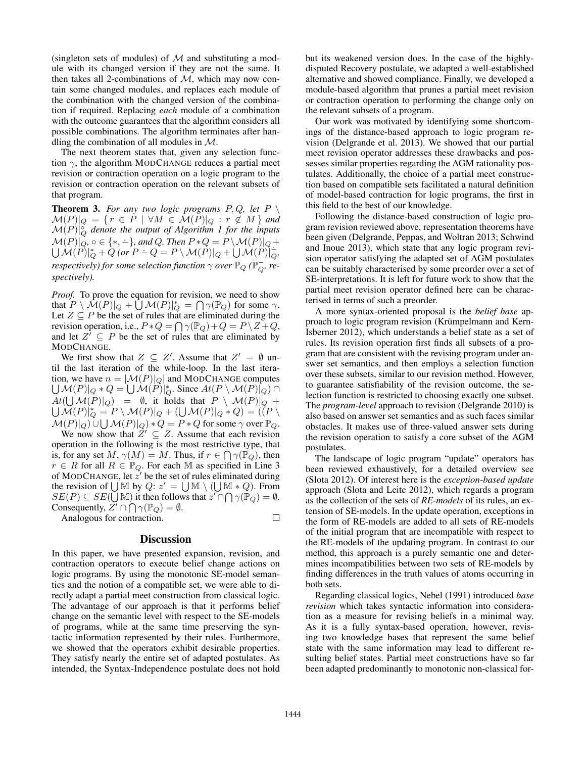(singleton sets of modules) of  $M$  and substituting a module with its changed version if they are not the same. It then takes all 2-combinations of  $M$ , which may now contain some changed modules, and replaces each module of the combination with the changed version of the combination if required. Replacing *each* module of a combination with the outcome guarantees that the algorithm considers all possible combinations. The algorithm terminates after handling the combination of all modules in  $M$ .

The next theorem states that, given any selection function  $\gamma$ , the algorithm MODCHANGE reduces a partial meet revision or contraction operation on a logic program to the revision or contraction operation on the relevant subsets of that program.

**Theorem 3.** For any two logic programs  $P, Q$ , let  $P \setminus Q$  $\mathcal{M}(P)|_Q = \{ \, r \, \in \, P \, \mid \, \forall M \, \in \, \mathcal{M}(P)|_Q \, : \, r \, \not \in \, M \, \}$  and  $\mathcal{M}(P)|_{Q}^{\delta}$  denote the output of Algorithm 1 for the inputs  $\mathcal{M}(P)|_{Q}^{\cap Q}, \circ \in \{*,\div\}$ U  $\div$ *}, and Q. Then*  $P \ast Q = P \setminus \mathcal{M}(P)|_Q +$  $\mathcal{M}(P)|_{Q}^{1} + Q$  (or  $P - Q = P \setminus \mathcal{M}(P)|_{Q} + \bigcup \mathcal{M}(P)|_{Q}^{1}$ *respectively) for some selection function*  $\gamma$  *over*  $\mathbb{P}_Q$  *(* $\mathbb{P}_Q^+$ *, respectively).*

*Proof.* To prove the equation for revision, we need to show that  $P \setminus \mathcal{M}(P)|_Q + \bigcup \mathcal{M}(P)|_Q^* = \bigcap \gamma(\mathbb{P}_Q)$  for some  $\gamma$ . Let  $Z \subseteq P$  be the set of rules that are eliminated during the revision operation, i.e.,  $P * Q = \bigcap \gamma(\mathbb{P}_Q) + Q = P \setminus Z + Q$ , and let  $Z^i \subseteq P$  be the set of rules that are eliminated by MODCHANGE.

We first show that  $Z \subseteq Z'$ . Assume that  $Z' = \emptyset$  until the last iteration of the while-loop. In the last iteration, we have U  $n = |\mathcal{M}(P)|_Q|$  and MODCHANGE computes  $\mathcal{M}(P)|_Q * Q = \bigcup \mathcal{M}(P)|_Q^*$ . Since  $At(P \setminus \mathcal{M}(P)|_Q) \cap$  $At(\bigcup \mathcal{M}(P)|_Q) = \emptyset$ , it holds that  $P \setminus \mathcal{M}(P)|_Q +$  $\bigcup\mathcal{\breve{M}}(P)|_{Q}^{*}=P\setminus\mathcal{M}(P)|_{Q}+(\bigcup\mathcal{M}(P)|_{Q}*Q)=\left(\v(P\setminus\mathcal{M}(P))\right)_{Q}^{*}$  $\mathcal{M}(P)|_Q) \cup \bigcup \mathcal{M}(P)|_Q) * Q = P * Q$  for some  $\gamma$  over  $\mathbb{P}_Q$ .

We now show that  $\check{Z}' \subseteq Z$ . Assume that each revision operation in the following is the most restrictive type, that is, for any set  $M$ ,  $\gamma(M) = M$ . Thus, if  $r \in \bigcap \gamma(\mathbb{P}_Q)$ , then  $r \in R$  for all  $R \in \mathbb{P}_Q$ . For each M as specified in Line 3 of MODCHANGE, let  $\vec{z}$  be the set of rules eliminated during the revision of  $\bigcup M$  by  $Q: z' = \bigcup M \setminus (\bigcup M * Q)$ . From  $SE(P) \subseteq SE(\bigcup \mathbb{M})$  it then follows that  $z' \cap \bigcap \gamma(\mathbb{P}_Q) = \emptyset$ . Consequently,  $Z' \cap \bigcap \gamma(\mathbb{P}_Q) = \emptyset$ .  $\Box$ 

Analogous for contraction.

#### **Discussion**

In this paper, we have presented expansion, revision, and contraction operators to execute belief change actions on logic programs. By using the monotonic SE-model semantics and the notion of a compatible set, we were able to directly adapt a partial meet construction from classical logic. The advantage of our approach is that it performs belief change on the semantic level with respect to the SE-models of programs, while at the same time preserving the syntactic information represented by their rules. Furthermore, we showed that the operators exhibit desirable properties. They satisfy nearly the entire set of adapted postulates. As intended, the Syntax-Independence postulate does not hold

but its weakened version does. In the case of the highlydisputed Recovery postulate, we adapted a well-established alternative and showed compliance. Finally, we developed a module-based algorithm that prunes a partial meet revision or contraction operation to performing the change only on the relevant subsets of a program.

Our work was motivated by identifying some shortcomings of the distance-based approach to logic program revision (Delgrande et al. 2013). We showed that our partial meet revision operator addresses these drawbacks and possesses similar properties regarding the AGM rationality postulates. Additionally, the choice of a partial meet construction based on compatible sets facilitated a natural definition of model-based contraction for logic programs, the first in this field to the best of our knowledge.

Following the distance-based construction of logic program revision reviewed above, representation theorems have been given (Delgrande, Peppas, and Woltran 2013; Schwind and Inoue 2013), which state that any logic program revision operator satisfying the adapted set of AGM postulates can be suitably characterised by some preorder over a set of SE-interpretations. It is left for future work to show that the partial meet revision operator defined here can be characterised in terms of such a preorder.

A more syntax-oriented proposal is the *belief base* approach to logic program revision (Krümpelmann and Kern-Isberner 2012), which understands a belief state as a set of rules. Its revision operation first finds all subsets of a program that are consistent with the revising program under answer set semantics, and then employs a selection function over these subsets, similar to our revision method. However, to guarantee satisfiability of the revision outcome, the selection function is restricted to choosing exactly one subset. The *program-level* approach to revision (Delgrande 2010) is also based on answer set semantics and as such faces similar obstacles. It makes use of three-valued answer sets during the revision operation to satisfy a core subset of the AGM postulates.

The landscape of logic program "update" operators has been reviewed exhaustively, for a detailed overview see (Slota 2012). Of interest here is the *exception-based update* approach (Slota and Leite 2012), which regards a program as the collection of the sets of *RE-models* of its rules, an extension of SE-models. In the update operation, exceptions in the form of RE-models are added to all sets of RE-models of the initial program that are incompatible with respect to the RE-models of the updating program. In contrast to our method, this approach is a purely semantic one and determines incompatibilities between two sets of RE-models by finding differences in the truth values of atoms occurring in both sets.

Regarding classical logics, Nebel (1991) introduced *base revision* which takes syntactic information into consideration as a measure for revising beliefs in a minimal way. As it is a fully syntax-based operation, however, revising two knowledge bases that represent the same belief state with the same information may lead to different resulting belief states. Partial meet constructions have so far been adapted predominantly to monotonic non-classical for